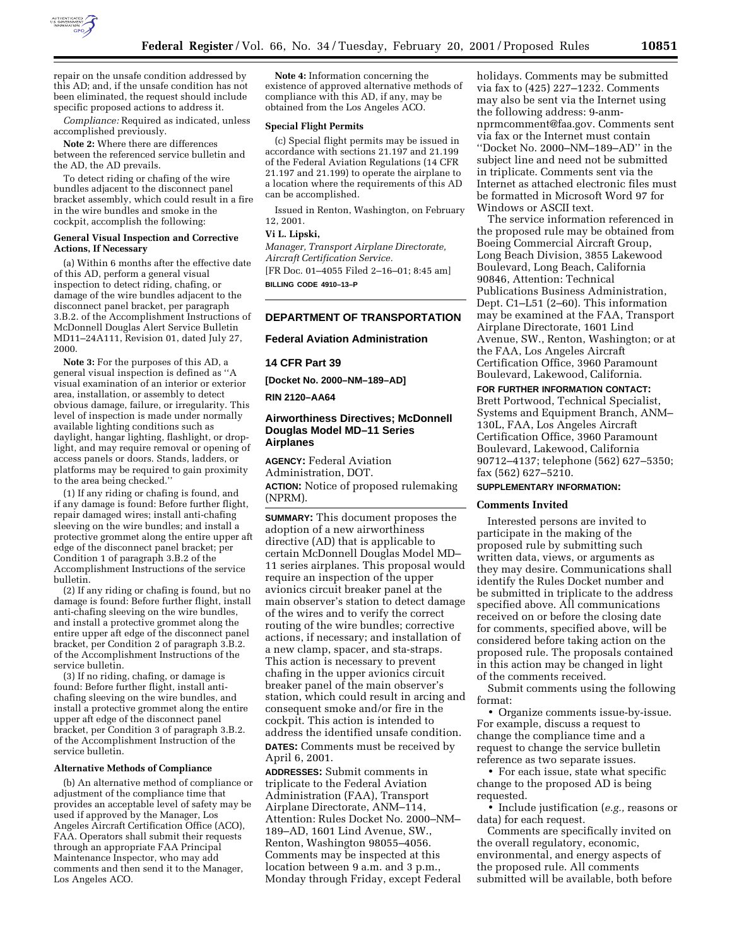

repair on the unsafe condition addressed by this AD; and, if the unsafe condition has not been eliminated, the request should include specific proposed actions to address it.

*Compliance:* Required as indicated, unless accomplished previously.

**Note 2:** Where there are differences between the referenced service bulletin and the AD, the AD prevails.

To detect riding or chafing of the wire bundles adjacent to the disconnect panel bracket assembly, which could result in a fire in the wire bundles and smoke in the cockpit, accomplish the following:

#### **General Visual Inspection and Corrective Actions, If Necessary**

(a) Within 6 months after the effective date of this AD, perform a general visual inspection to detect riding, chafing, or damage of the wire bundles adjacent to the disconnect panel bracket, per paragraph 3.B.2. of the Accomplishment Instructions of McDonnell Douglas Alert Service Bulletin MD11–24A111, Revision 01, dated July 27, 2000.

**Note 3:** For the purposes of this AD, a general visual inspection is defined as ''A visual examination of an interior or exterior area, installation, or assembly to detect obvious damage, failure, or irregularity. This level of inspection is made under normally available lighting conditions such as daylight, hangar lighting, flashlight, or droplight, and may require removal or opening of access panels or doors. Stands, ladders, or platforms may be required to gain proximity to the area being checked.''

(1) If any riding or chafing is found, and if any damage is found: Before further flight, repair damaged wires; install anti-chafing sleeving on the wire bundles; and install a protective grommet along the entire upper aft edge of the disconnect panel bracket; per Condition 1 of paragraph 3.B.2 of the Accomplishment Instructions of the service bulletin.

(2) If any riding or chafing is found, but no damage is found: Before further flight, install anti-chafing sleeving on the wire bundles, and install a protective grommet along the entire upper aft edge of the disconnect panel bracket, per Condition 2 of paragraph 3.B.2. of the Accomplishment Instructions of the service bulletin.

(3) If no riding, chafing, or damage is found: Before further flight, install antichafing sleeving on the wire bundles, and install a protective grommet along the entire upper aft edge of the disconnect panel bracket, per Condition 3 of paragraph 3.B.2. of the Accomplishment Instruction of the service bulletin.

#### **Alternative Methods of Compliance**

(b) An alternative method of compliance or adjustment of the compliance time that provides an acceptable level of safety may be used if approved by the Manager, Los Angeles Aircraft Certification Office (ACO), FAA. Operators shall submit their requests through an appropriate FAA Principal Maintenance Inspector, who may add comments and then send it to the Manager, Los Angeles ACO.

**Note 4:** Information concerning the existence of approved alternative methods of compliance with this AD, if any, may be obtained from the Los Angeles ACO.

#### **Special Flight Permits**

(c) Special flight permits may be issued in accordance with sections 21.197 and 21.199 of the Federal Aviation Regulations (14 CFR 21.197 and 21.199) to operate the airplane to a location where the requirements of this AD can be accomplished.

Issued in Renton, Washington, on February 12, 2001.

## **Vi L. Lipski,**

*Manager, Transport Airplane Directorate, Aircraft Certification Service.*

[FR Doc. 01–4055 Filed 2–16–01; 8:45 am] **BILLING CODE 4910–13–P**

### **DEPARTMENT OF TRANSPORTATION**

### **Federal Aviation Administration**

## **14 CFR Part 39**

**[Docket No. 2000–NM–189–AD]**

## **RIN 2120–AA64**

## **Airworthiness Directives; McDonnell Douglas Model MD–11 Series Airplanes**

**AGENCY:** Federal Aviation Administration, DOT. **ACTION:** Notice of proposed rulemaking (NPRM).

**SUMMARY:** This document proposes the adoption of a new airworthiness directive (AD) that is applicable to certain McDonnell Douglas Model MD– 11 series airplanes. This proposal would require an inspection of the upper avionics circuit breaker panel at the main observer's station to detect damage of the wires and to verify the correct routing of the wire bundles; corrective actions, if necessary; and installation of a new clamp, spacer, and sta-straps. This action is necessary to prevent chafing in the upper avionics circuit breaker panel of the main observer's station, which could result in arcing and consequent smoke and/or fire in the cockpit. This action is intended to address the identified unsafe condition. **DATES:** Comments must be received by April 6, 2001.

**ADDRESSES:** Submit comments in triplicate to the Federal Aviation Administration (FAA), Transport Airplane Directorate, ANM–114, Attention: Rules Docket No. 2000–NM– 189–AD, 1601 Lind Avenue, SW., Renton, Washington 98055–4056. Comments may be inspected at this location between 9 a.m. and 3 p.m., Monday through Friday, except Federal holidays. Comments may be submitted via fax to (425) 227–1232. Comments may also be sent via the Internet using the following address: 9-anmnprmcomment@faa.gov. Comments sent via fax or the Internet must contain ''Docket No. 2000–NM–189–AD'' in the subject line and need not be submitted in triplicate. Comments sent via the Internet as attached electronic files must be formatted in Microsoft Word 97 for Windows or ASCII text.

The service information referenced in the proposed rule may be obtained from Boeing Commercial Aircraft Group, Long Beach Division, 3855 Lakewood Boulevard, Long Beach, California 90846, Attention: Technical Publications Business Administration, Dept. C1–L51 (2–60). This information may be examined at the FAA, Transport Airplane Directorate, 1601 Lind Avenue, SW., Renton, Washington; or at the FAA, Los Angeles Aircraft Certification Office, 3960 Paramount Boulevard, Lakewood, California.

**FOR FURTHER INFORMATION CONTACT:** Brett Portwood, Technical Specialist, Systems and Equipment Branch, ANM– 130L, FAA, Los Angeles Aircraft Certification Office, 3960 Paramount Boulevard, Lakewood, California 90712–4137; telephone (562) 627–5350; fax (562) 627–5210.

# **SUPPLEMENTARY INFORMATION:**

### **Comments Invited**

Interested persons are invited to participate in the making of the proposed rule by submitting such written data, views, or arguments as they may desire. Communications shall identify the Rules Docket number and be submitted in triplicate to the address specified above. All communications received on or before the closing date for comments, specified above, will be considered before taking action on the proposed rule. The proposals contained in this action may be changed in light of the comments received.

Submit comments using the following format:

• Organize comments issue-by-issue. For example, discuss a request to change the compliance time and a request to change the service bulletin reference as two separate issues.

• For each issue, state what specific change to the proposed AD is being requested.

• Include justification (*e.g.,* reasons or data) for each request.

Comments are specifically invited on the overall regulatory, economic, environmental, and energy aspects of the proposed rule. All comments submitted will be available, both before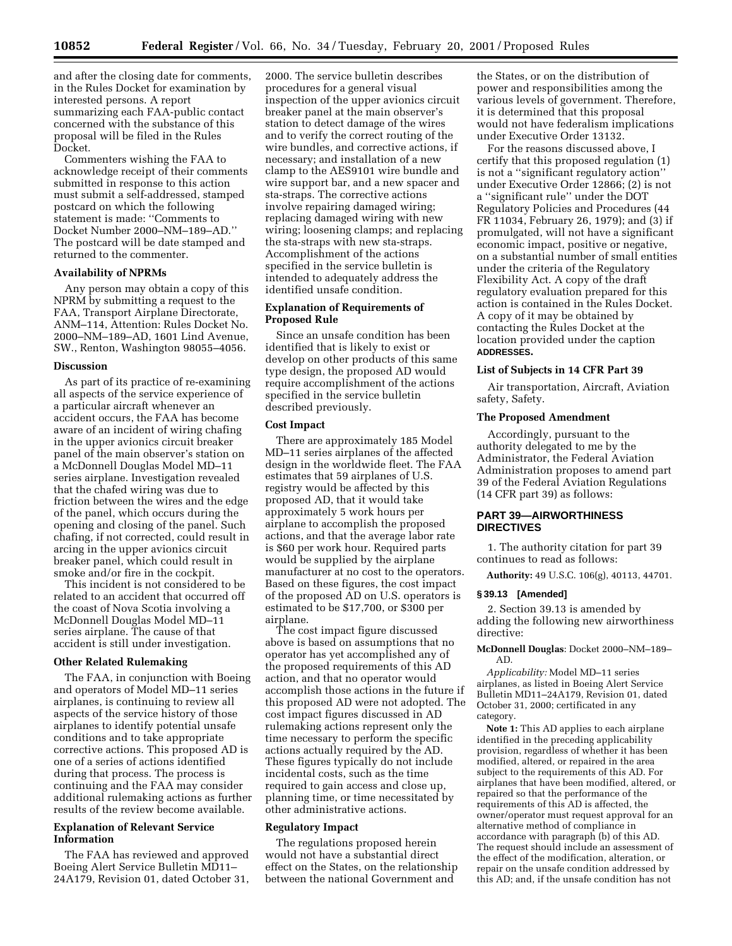and after the closing date for comments, in the Rules Docket for examination by interested persons. A report summarizing each FAA-public contact concerned with the substance of this proposal will be filed in the Rules Docket.

Commenters wishing the FAA to acknowledge receipt of their comments submitted in response to this action must submit a self-addressed, stamped postcard on which the following statement is made: ''Comments to Docket Number 2000–NM–189–AD.'' The postcard will be date stamped and returned to the commenter.

#### **Availability of NPRMs**

Any person may obtain a copy of this NPRM by submitting a request to the FAA, Transport Airplane Directorate, ANM–114, Attention: Rules Docket No. 2000–NM–189–AD, 1601 Lind Avenue, SW., Renton, Washington 98055–4056.

## **Discussion**

As part of its practice of re-examining all aspects of the service experience of a particular aircraft whenever an accident occurs, the FAA has become aware of an incident of wiring chafing in the upper avionics circuit breaker panel of the main observer's station on a McDonnell Douglas Model MD–11 series airplane. Investigation revealed that the chafed wiring was due to friction between the wires and the edge of the panel, which occurs during the opening and closing of the panel. Such chafing, if not corrected, could result in arcing in the upper avionics circuit breaker panel, which could result in smoke and/or fire in the cockpit.

This incident is not considered to be related to an accident that occurred off the coast of Nova Scotia involving a McDonnell Douglas Model MD–11 series airplane. The cause of that accident is still under investigation.

## **Other Related Rulemaking**

The FAA, in conjunction with Boeing and operators of Model MD–11 series airplanes, is continuing to review all aspects of the service history of those airplanes to identify potential unsafe conditions and to take appropriate corrective actions. This proposed AD is one of a series of actions identified during that process. The process is continuing and the FAA may consider additional rulemaking actions as further results of the review become available.

## **Explanation of Relevant Service Information**

The FAA has reviewed and approved Boeing Alert Service Bulletin MD11– 24A179, Revision 01, dated October 31,

2000. The service bulletin describes procedures for a general visual inspection of the upper avionics circuit breaker panel at the main observer's station to detect damage of the wires and to verify the correct routing of the wire bundles, and corrective actions, if necessary; and installation of a new clamp to the AES9101 wire bundle and wire support bar, and a new spacer and sta-straps. The corrective actions involve repairing damaged wiring; replacing damaged wiring with new wiring; loosening clamps; and replacing the sta-straps with new sta-straps. Accomplishment of the actions specified in the service bulletin is intended to adequately address the identified unsafe condition.

## **Explanation of Requirements of Proposed Rule**

Since an unsafe condition has been identified that is likely to exist or develop on other products of this same type design, the proposed AD would require accomplishment of the actions specified in the service bulletin described previously.

## **Cost Impact**

There are approximately 185 Model MD–11 series airplanes of the affected design in the worldwide fleet. The FAA estimates that 59 airplanes of U.S. registry would be affected by this proposed AD, that it would take approximately 5 work hours per airplane to accomplish the proposed actions, and that the average labor rate is \$60 per work hour. Required parts would be supplied by the airplane manufacturer at no cost to the operators. Based on these figures, the cost impact of the proposed AD on U.S. operators is estimated to be \$17,700, or \$300 per airplane.

The cost impact figure discussed above is based on assumptions that no operator has yet accomplished any of the proposed requirements of this AD action, and that no operator would accomplish those actions in the future if this proposed AD were not adopted. The cost impact figures discussed in AD rulemaking actions represent only the time necessary to perform the specific actions actually required by the AD. These figures typically do not include incidental costs, such as the time required to gain access and close up, planning time, or time necessitated by other administrative actions.

#### **Regulatory Impact**

The regulations proposed herein would not have a substantial direct effect on the States, on the relationship between the national Government and

the States, or on the distribution of power and responsibilities among the various levels of government. Therefore, it is determined that this proposal would not have federalism implications under Executive Order 13132.

For the reasons discussed above, I certify that this proposed regulation (1) is not a ''significant regulatory action'' under Executive Order 12866; (2) is not a ''significant rule'' under the DOT Regulatory Policies and Procedures (44 FR 11034, February 26, 1979); and (3) if promulgated, will not have a significant economic impact, positive or negative, on a substantial number of small entities under the criteria of the Regulatory Flexibility Act. A copy of the draft regulatory evaluation prepared for this action is contained in the Rules Docket. A copy of it may be obtained by contacting the Rules Docket at the location provided under the caption **ADDRESSES.**

#### **List of Subjects in 14 CFR Part 39**

Air transportation, Aircraft, Aviation safety, Safety.

#### **The Proposed Amendment**

Accordingly, pursuant to the authority delegated to me by the Administrator, the Federal Aviation Administration proposes to amend part 39 of the Federal Aviation Regulations (14 CFR part 39) as follows:

## **PART 39—AIRWORTHINESS DIRECTIVES**

1. The authority citation for part 39 continues to read as follows:

**Authority:** 49 U.S.C. 106(g), 40113, 44701.

#### **§ 39.13 [Amended]**

2. Section 39.13 is amended by adding the following new airworthiness directive:

**McDonnell Douglas**: Docket 2000–NM–189– AD.

*Applicability:* Model MD–11 series airplanes, as listed in Boeing Alert Service Bulletin MD11–24A179, Revision 01, dated October 31, 2000; certificated in any category.

**Note 1:** This AD applies to each airplane identified in the preceding applicability provision, regardless of whether it has been modified, altered, or repaired in the area subject to the requirements of this AD. For airplanes that have been modified, altered, or repaired so that the performance of the requirements of this AD is affected, the owner/operator must request approval for an alternative method of compliance in accordance with paragraph (b) of this AD. The request should include an assessment of the effect of the modification, alteration, or repair on the unsafe condition addressed by this AD; and, if the unsafe condition has not